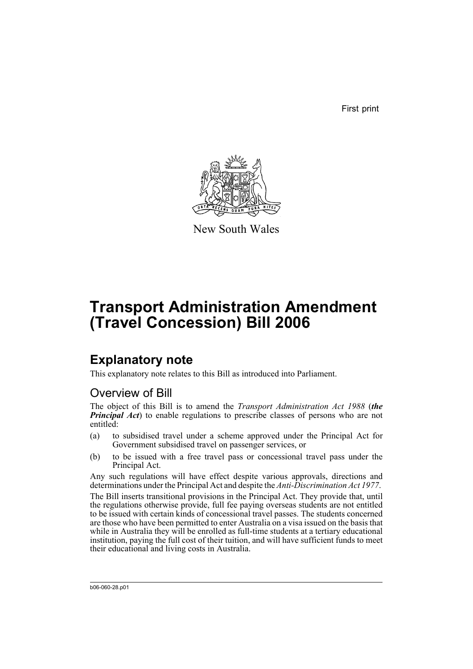First print



New South Wales

# **Transport Administration Amendment (Travel Concession) Bill 2006**

## **Explanatory note**

This explanatory note relates to this Bill as introduced into Parliament.

### Overview of Bill

The object of this Bill is to amend the *Transport Administration Act 1988* (*the Principal Act*) to enable regulations to prescribe classes of persons who are not entitled:

- (a) to subsidised travel under a scheme approved under the Principal Act for Government subsidised travel on passenger services, or
- (b) to be issued with a free travel pass or concessional travel pass under the Principal Act.

Any such regulations will have effect despite various approvals, directions and determinations under the Principal Act and despite the *Anti-Discrimination Act 1977*.

The Bill inserts transitional provisions in the Principal Act. They provide that, until the regulations otherwise provide, full fee paying overseas students are not entitled to be issued with certain kinds of concessional travel passes. The students concerned are those who have been permitted to enter Australia on a visa issued on the basis that while in Australia they will be enrolled as full-time students at a tertiary educational institution, paying the full cost of their tuition, and will have sufficient funds to meet their educational and living costs in Australia.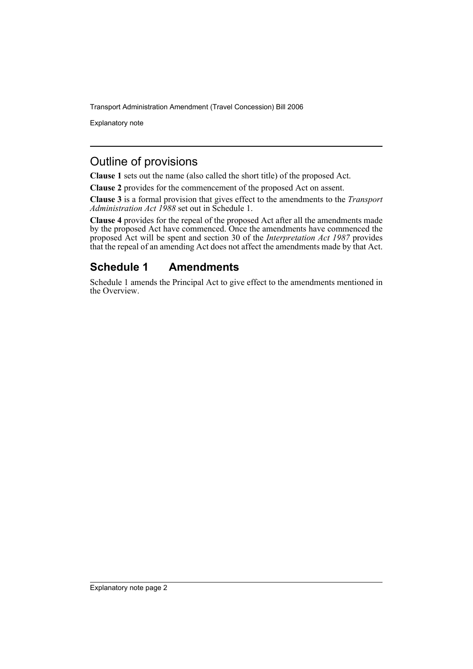Explanatory note

#### Outline of provisions

**Clause 1** sets out the name (also called the short title) of the proposed Act.

**Clause 2** provides for the commencement of the proposed Act on assent.

**Clause 3** is a formal provision that gives effect to the amendments to the *Transport Administration Act 1988* set out in Schedule 1.

**Clause 4** provides for the repeal of the proposed Act after all the amendments made by the proposed Act have commenced. Once the amendments have commenced the proposed Act will be spent and section 30 of the *Interpretation Act 1987* provides that the repeal of an amending Act does not affect the amendments made by that Act.

### **Schedule 1 Amendments**

Schedule 1 amends the Principal Act to give effect to the amendments mentioned in the Overview.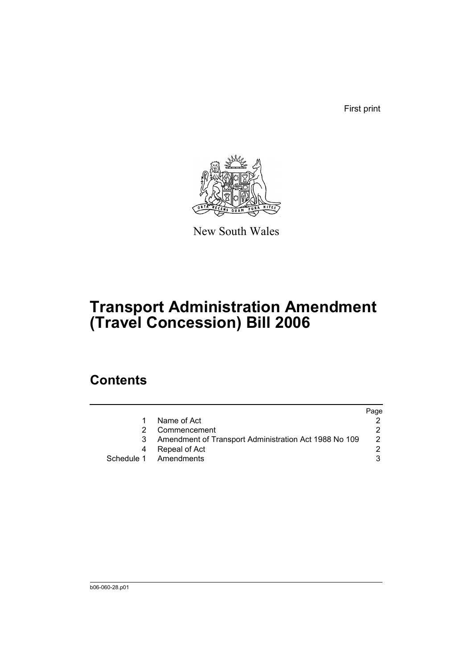First print



New South Wales

# **Transport Administration Amendment (Travel Concession) Bill 2006**

## **Contents**

|                                                       | Page          |
|-------------------------------------------------------|---------------|
| Name of Act                                           |               |
| Commencement                                          |               |
| Amendment of Transport Administration Act 1988 No 109 | $\mathcal{P}$ |
| Repeal of Act                                         |               |
| Schedule 1 Amendments                                 |               |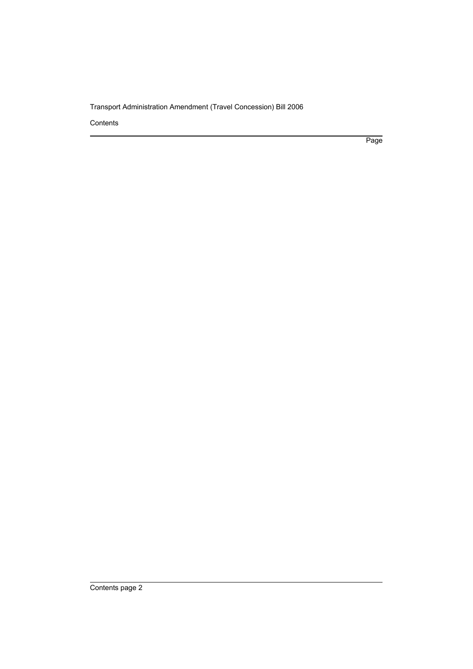Contents

Page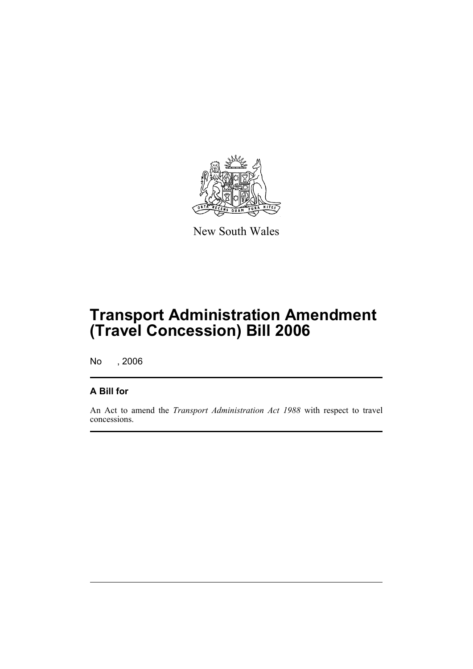

New South Wales

# **Transport Administration Amendment (Travel Concession) Bill 2006**

No , 2006

#### **A Bill for**

An Act to amend the *Transport Administration Act 1988* with respect to travel concessions.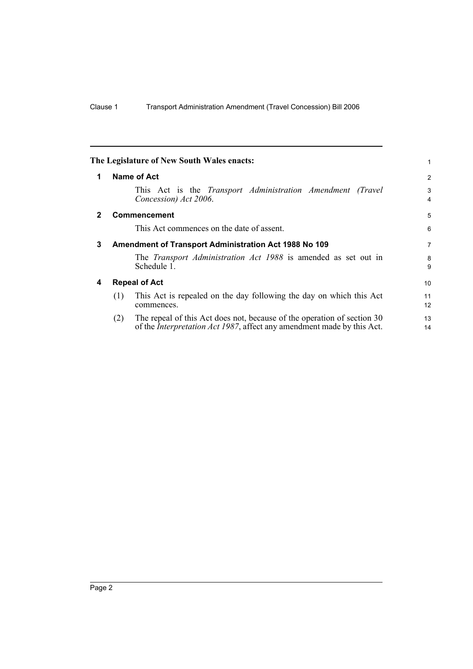<span id="page-5-3"></span><span id="page-5-2"></span><span id="page-5-1"></span><span id="page-5-0"></span>

|              |                                                       | The Legislature of New South Wales enacts:                                                                                                                | 1                   |
|--------------|-------------------------------------------------------|-----------------------------------------------------------------------------------------------------------------------------------------------------------|---------------------|
| 1            |                                                       | Name of Act                                                                                                                                               | 2                   |
|              |                                                       | This Act is the <i>Transport Administration Amendment (Travel</i><br>Concession) Act 2006.                                                                | 3<br>$\overline{4}$ |
| $\mathbf{2}$ |                                                       | <b>Commencement</b>                                                                                                                                       | 5                   |
|              |                                                       | This Act commences on the date of assent.                                                                                                                 | 6                   |
| 3            | Amendment of Transport Administration Act 1988 No 109 |                                                                                                                                                           | 7                   |
|              |                                                       | The <i>Transport Administration Act 1988</i> is amended as set out in<br>Schedule 1.                                                                      | 8<br>9              |
| 4            |                                                       | <b>Repeal of Act</b>                                                                                                                                      | 10                  |
|              | (1)                                                   | This Act is repealed on the day following the day on which this Act<br>commences.                                                                         | 11<br>12            |
|              | (2)                                                   | The repeal of this Act does not, because of the operation of section 30<br>of the <i>Interpretation Act 1987</i> , affect any amendment made by this Act. | 13<br>14            |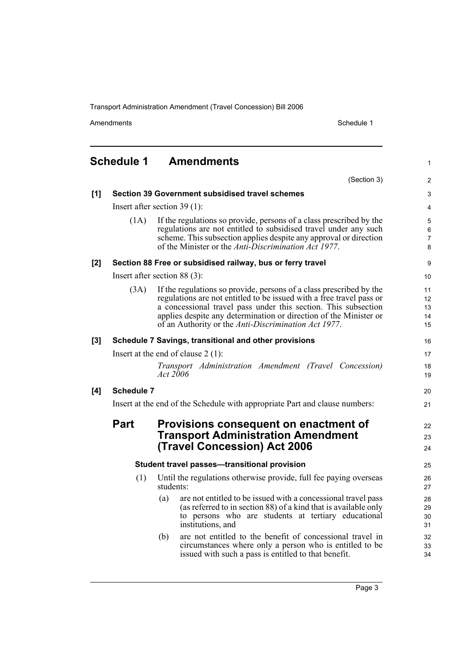Amendments Schedule 1

(Section 3)

1

2

### <span id="page-6-0"></span>**Schedule 1 Amendments**

| [1]   |                                                                             | Section 39 Government subsidised travel schemes                                                                                                                                                                                                                                                                                            | 3                                             |  |  |
|-------|-----------------------------------------------------------------------------|--------------------------------------------------------------------------------------------------------------------------------------------------------------------------------------------------------------------------------------------------------------------------------------------------------------------------------------------|-----------------------------------------------|--|--|
|       | Insert after section $39(1)$ :                                              |                                                                                                                                                                                                                                                                                                                                            |                                               |  |  |
|       | (1A)                                                                        | If the regulations so provide, persons of a class prescribed by the<br>regulations are not entitled to subsidised travel under any such<br>scheme. This subsection applies despite any approval or direction<br>of the Minister or the Anti-Discrimination Act 1977.                                                                       | $\mathbf 5$<br>$\,6\,$<br>$\overline{7}$<br>8 |  |  |
| [2]   |                                                                             | Section 88 Free or subsidised railway, bus or ferry travel                                                                                                                                                                                                                                                                                 | 9                                             |  |  |
|       | Insert after section $88(3)$ :                                              |                                                                                                                                                                                                                                                                                                                                            |                                               |  |  |
|       | (3A)                                                                        | If the regulations so provide, persons of a class prescribed by the<br>regulations are not entitled to be issued with a free travel pass or<br>a concessional travel pass under this section. This subsection<br>applies despite any determination or direction of the Minister or<br>of an Authority or the Anti-Discrimination Act 1977. | 11<br>12<br>13<br>14<br>15                    |  |  |
| $[3]$ |                                                                             | Schedule 7 Savings, transitional and other provisions                                                                                                                                                                                                                                                                                      | 16                                            |  |  |
|       | Insert at the end of clause $2(1)$ :                                        |                                                                                                                                                                                                                                                                                                                                            |                                               |  |  |
|       |                                                                             | Transport Administration Amendment (Travel Concession)<br>$Act\,2006$                                                                                                                                                                                                                                                                      | 18<br>19                                      |  |  |
| [4]   | <b>Schedule 7</b>                                                           |                                                                                                                                                                                                                                                                                                                                            |                                               |  |  |
|       | Insert at the end of the Schedule with appropriate Part and clause numbers: |                                                                                                                                                                                                                                                                                                                                            |                                               |  |  |
|       | <b>Part</b>                                                                 | Provisions consequent on enactment of<br><b>Transport Administration Amendment</b><br><b>(Travel Concession) Act 2006</b>                                                                                                                                                                                                                  | 22<br>23<br>24                                |  |  |
|       | Student travel passes-transitional provision                                |                                                                                                                                                                                                                                                                                                                                            |                                               |  |  |
|       | (1)                                                                         | Until the regulations otherwise provide, full fee paying overseas<br>students:                                                                                                                                                                                                                                                             | 26<br>27                                      |  |  |
|       |                                                                             | (a)<br>are not entitled to be issued with a concessional travel pass<br>(as referred to in section 88) of a kind that is available only<br>to persons who are students at tertiary educational<br>institutions, and                                                                                                                        | 28<br>29<br>30<br>31                          |  |  |
|       |                                                                             | are not entitled to the benefit of concessional travel in<br>(b)<br>circumstances where only a person who is entitled to be<br>issued with such a pass is entitled to that benefit.                                                                                                                                                        | 32<br>33<br>34                                |  |  |